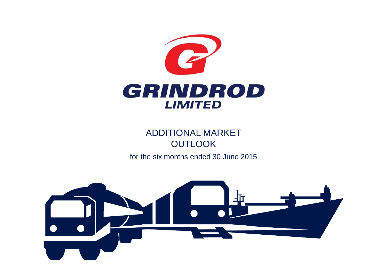

ADDITIONAL MARKET **OUTLOOK** 

for the six months ended 30 June 2015

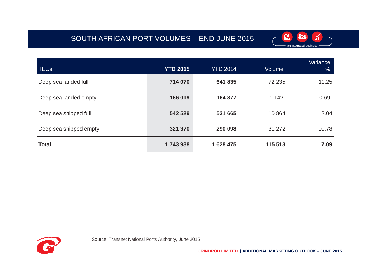# SOUTH AFRICAN PORT VOLUMES – END JUNE 2015



| <b>TEUs</b>            | <b>YTD 2015</b> | <b>YTD 2014</b> | Volume  | Variance<br>$\%$ |
|------------------------|-----------------|-----------------|---------|------------------|
| Deep sea landed full   | 714 070         | 641 835         | 72 235  | 11.25            |
| Deep sea landed empty  | 166 019         | 164 877         | 1 1 4 2 | 0.69             |
| Deep sea shipped full  | 542 529         | 531 665         | 10864   | 2.04             |
| Deep sea shipped empty | 321 370         | 290 098         | 31 27 2 | 10.78            |
| <b>Total</b>           | 1743988         | 1 628 475       | 115 513 | 7.09             |

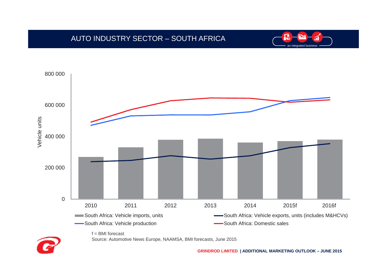## AUTO INDUSTRY SECTOR – SOUTH AFRICA





Source: Automotive News Europe, NAAMSA, BMI forecasts, June 2015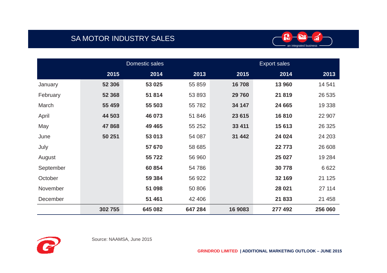# SA MOTOR INDUSTRY SALES



|           | Domestic sales |         |         | <b>Export sales</b> |         |         |
|-----------|----------------|---------|---------|---------------------|---------|---------|
|           | 2015           | 2014    | 2013    | 2015                | 2014    | 2013    |
| January   | 52 306         | 53 025  | 55 859  | 16708               | 13 960  | 14 541  |
| February  | 52 368         | 51 814  | 53 893  | 29 760              | 21819   | 26 535  |
| March     | 55 459         | 55 503  | 55 782  | 34 147              | 24 665  | 19 3 38 |
| April     | 44 503         | 46 073  | 51 846  | 23 615              | 16810   | 22 907  |
| May       | 47868          | 49 4 65 | 55 252  | 33 411              | 15 613  | 26 3 25 |
| June      | 50 251         | 53 013  | 54 087  | 31 442              | 24 0 24 | 24 203  |
| July      |                | 57 670  | 58 685  |                     | 22 773  | 26 608  |
| August    |                | 55 722  | 56 960  |                     | 25 0 27 | 19 2 84 |
| September |                | 60 854  | 54 786  |                     | 30778   | 6 6 22  |
| October   |                | 59 384  | 56 922  |                     | 32 169  | 21 1 25 |
| November  |                | 51 098  | 50 806  |                     | 28 0 21 | 27 114  |
| December  |                | 51 461  | 42 40 6 |                     | 21 833  | 21 458  |
|           | 302 755        | 645 082 | 647 284 | 16 9083             | 277 492 | 256 060 |



Source: NAAMSA, June 2015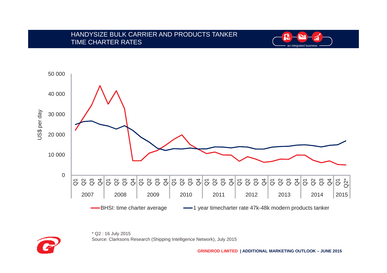#### HANDYSIZE BULK CARRIER AND PRODUCTS TANKERTIME CHARTER RATES







\* Q2 : 16 July 2015Source: Clarksons Research (Shipping Intelligence Network), July 2015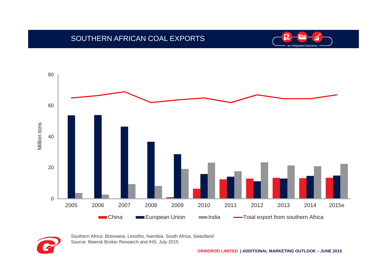

## SOUTHERN AFRICAN COAL EXPORTS



Southern Africa: Botswana, Lesotho, Namibia, South Africa, Swaziland Source: Maersk Broker Research and IHS, July 2015

**GRINDROD LIMITED | ADDITIONAL MARKETING OUTLOOK – JUNE 2015**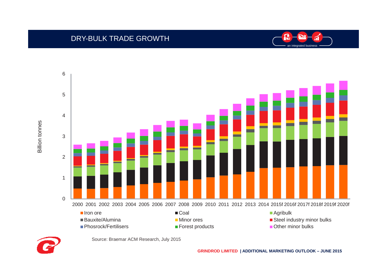





Source: Braemar ACM Research, July 2015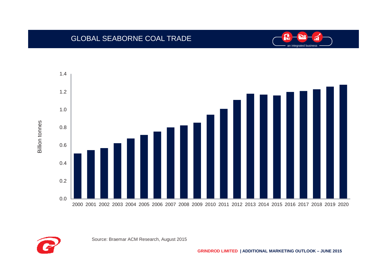

## GLOBAL SEABORNE COAL TRADE



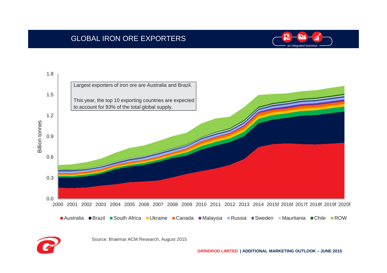# GLOBAL IRON ORE EXPORTERS





Source: Braemar ACM Research, August 2015

**GRINDROD LIMITED | ADDITIONAL MARKETING OUTLOOK – JUNE 2015**